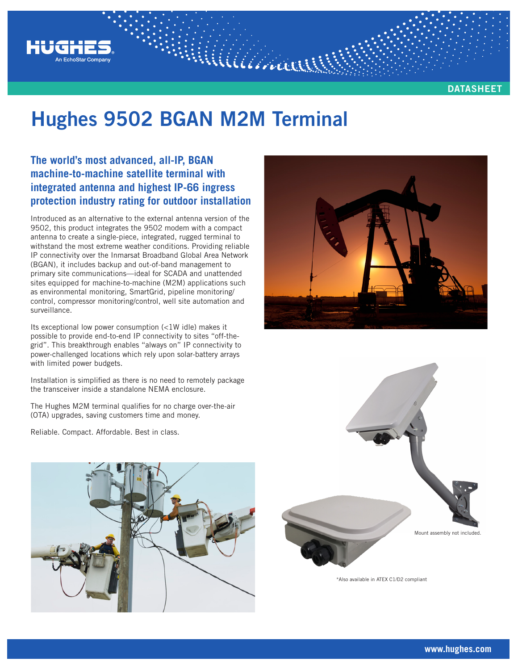

**DATASHEET**

# **Hughes 9502 BGAN M2M Terminal**

MAALLAND

# **The world's most advanced, all-IP, BGAN machine-to-machine satellite terminal with integrated antenna and highest IP-66 ingress protection industry rating for outdoor installation**

Introduced as an alternative to the external antenna version of the 9502, this product integrates the 9502 modem with a compact antenna to create a single-piece, integrated, rugged terminal to withstand the most extreme weather conditions. Providing reliable IP connectivity over the Inmarsat Broadband Global Area Network (BGAN), it includes backup and out-of-band management to primary site communications—ideal for SCADA and unattended sites equipped for machine-to-machine (M2M) applications such as environmental monitoring, SmartGrid, pipeline monitoring/ control, compressor monitoring/control, well site automation and surveillance.

Its exceptional low power consumption (<1W idle) makes it possible to provide end-to-end IP connectivity to sites "off-thegrid". This breakthrough enables "always on" IP connectivity to power-challenged locations which rely upon solar-battery arrays with limited power budgets.

Installation is simplified as there is no need to remotely package the transceiver inside a standalone NEMA enclosure.

The Hughes M2M terminal qualifies for no charge over-the-air (OTA) upgrades, saving customers time and money.

Reliable. Compact. Affordable. Best in class.







\*Also available in ATEX C1/D2 compliant